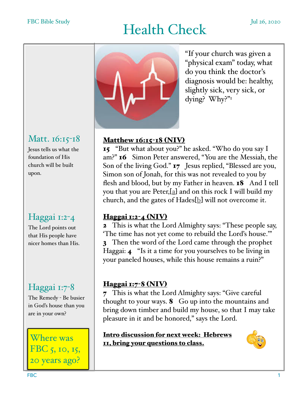# Health Check Jul 26, 2020



"If your church was given a "physical exam" today, what do you think the doctor's diagnosis would be: healthy, slightly sick, very sick, or dying? Why?"1

### Matt. 16:15-18

Jesus tells us what the foundation of His church will be built upon.

## Haggai 1:2-4

The Lord points out that His people have nicer homes than His.

## Haggai 1:7<sup>-8</sup>

The Remedy - Be busier in God's house than you are in your own?

Where was FBC 5, 10, 15, 20 years ago?

#### Matthew 16:15-18 (NIV)

15 "But what about you?" he asked. "Who do you say I am?" 16 Simon Peter answered, "You are the Messiah, the Son of the living God." 17 Jesus replied, "Blessed are you, Simon son of Jonah, for this was not revealed to you by flesh and blood, but by my Father in heaven. **18** And I tell you that you are Peter,[a] and on this rock I will build my church, and the gates of Hades[b] will not overcome it.

#### Haggai 1:2-4 (NIV)

2 This is what the Lord Almighty says: "These people say, 'The time has not yet come to rebuild the Lord's house.'" 3 Then the word of the Lord came through the prophet Haggai: 4 "Is it a time for you yourselves to be living in your paneled houses, while this house remains a ruin?"

#### Haggai 1:7-8 (NIV)

7 This is what the Lord Almighty says: "Give careful thought to your ways. 8 Go up into the mountains and bring down timber and build my house, so that I may take pleasure in it and be honored," says the Lord.

Intro discussion for next week: Hebrews 11, bring your questions to class.